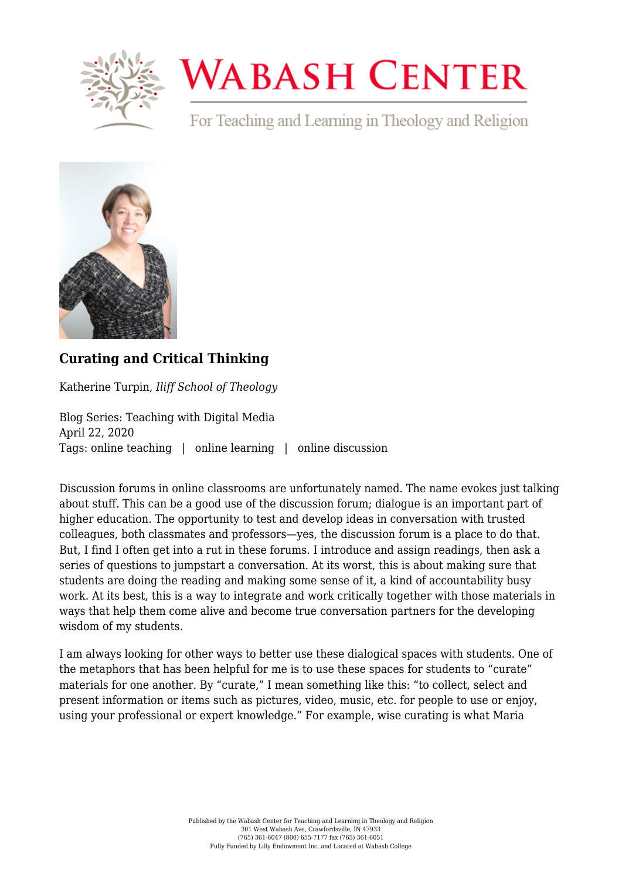

## **WABASH CENTER**

For Teaching and Learning in Theology and Religion



## **[Curating and Critical Thinking](https://www.wabashcenter.wabash.edu/2020/04/curating-and-critical-thinking/)**

Katherine Turpin, *Iliff School of Theology*

Blog Series: Teaching with Digital Media April 22, 2020 Tags: online teaching | online learning | online discussion

Discussion forums in online classrooms are unfortunately named. The name evokes just talking about stuff. This can be a good use of the discussion forum; dialogue is an important part of higher education. The opportunity to test and develop ideas in conversation with trusted colleagues, both classmates and professors—yes, the discussion forum is a place to do that. But, I find I often get into a rut in these forums. I introduce and assign readings, then ask a series of questions to jumpstart a conversation. At its worst, this is about making sure that students are doing the reading and making some sense of it, a kind of accountability busy work. At its best, this is a way to integrate and work critically together with those materials in ways that help them come alive and become true conversation partners for the developing wisdom of my students.

I am always looking for other ways to better use these dialogical spaces with students. One of the metaphors that has been helpful for me is to use these spaces for students to "curate" materials for one another. By "curate," I mean something like [this](https://www.oxfordlearnersdictionaries.com/us/definition/english/curate2): "to collect, select and present information or items such as pictures, video, music, etc. for people to use or enjoy, using your professional or expert knowledge." For example, wise curating is what Maria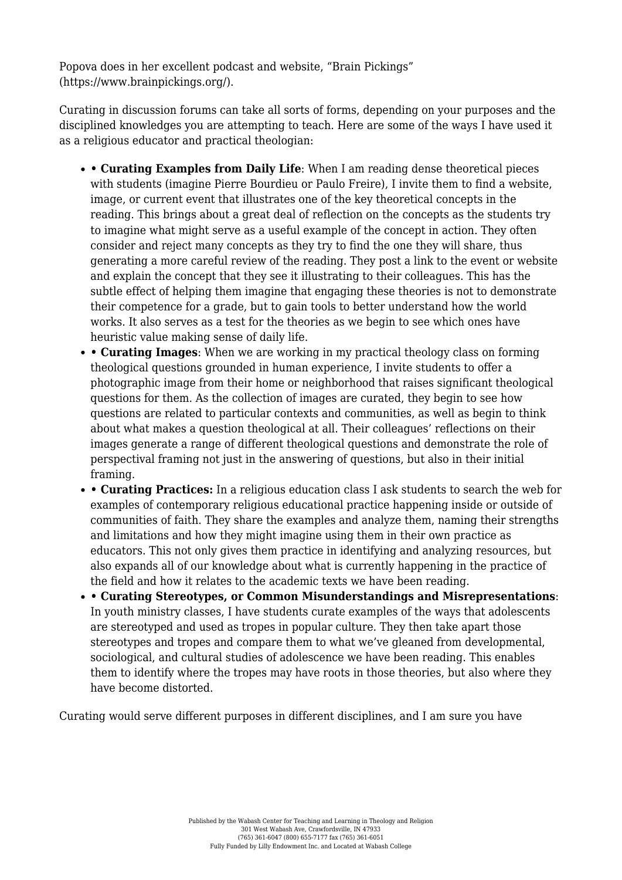Popova does in her excellent podcast and website, "Brain Pickings" ([https://www.brainpickings.org/\)](https://www.brainpickings.org/).

Curating in discussion forums can take all sorts of forms, depending on your purposes and the disciplined knowledges you are attempting to teach. Here are some of the ways I have used it as a religious educator and practical theologian:

- **Curating Examples from Daily Life**: When I am reading dense theoretical pieces with students (imagine Pierre Bourdieu or Paulo Freire), I invite them to find a website, image, or current event that illustrates one of the key theoretical concepts in the reading. This brings about a great deal of reflection on the concepts as the students try to imagine what might serve as a useful example of the concept in action. They often consider and reject many concepts as they try to find the one they will share, thus generating a more careful review of the reading. They post a link to the event or website and explain the concept that they see it illustrating to their colleagues. This has the subtle effect of helping them imagine that engaging these theories is not to demonstrate their competence for a grade, but to gain tools to better understand how the world works. It also serves as a test for the theories as we begin to see which ones have heuristic value making sense of daily life.
- **Curating Images**: When we are working in my practical theology class on forming theological questions grounded in human experience, I invite students to offer a photographic image from their home or neighborhood that raises significant theological questions for them. As the collection of images are curated, they begin to see how questions are related to particular contexts and communities, as well as begin to think about what makes a question theological at all. Their colleagues' reflections on their images generate a range of different theological questions and demonstrate the role of perspectival framing not just in the answering of questions, but also in their initial framing.
- **Curating Practices:** In a religious education class I ask students to search the web for examples of contemporary religious educational practice happening inside or outside of communities of faith. They share the examples and analyze them, naming their strengths and limitations and how they might imagine using them in their own practice as educators. This not only gives them practice in identifying and analyzing resources, but also expands all of our knowledge about what is currently happening in the practice of the field and how it relates to the academic texts we have been reading.
- **Curating Stereotypes, or Common Misunderstandings and Misrepresentations**: In youth ministry classes, I have students curate examples of the ways that adolescents are stereotyped and used as tropes in popular culture. They then take apart those stereotypes and tropes and compare them to what we've gleaned from developmental, sociological, and cultural studies of adolescence we have been reading. This enables them to identify where the tropes may have roots in those theories, but also where they have become distorted.

Curating would serve different purposes in different disciplines, and I am sure you have